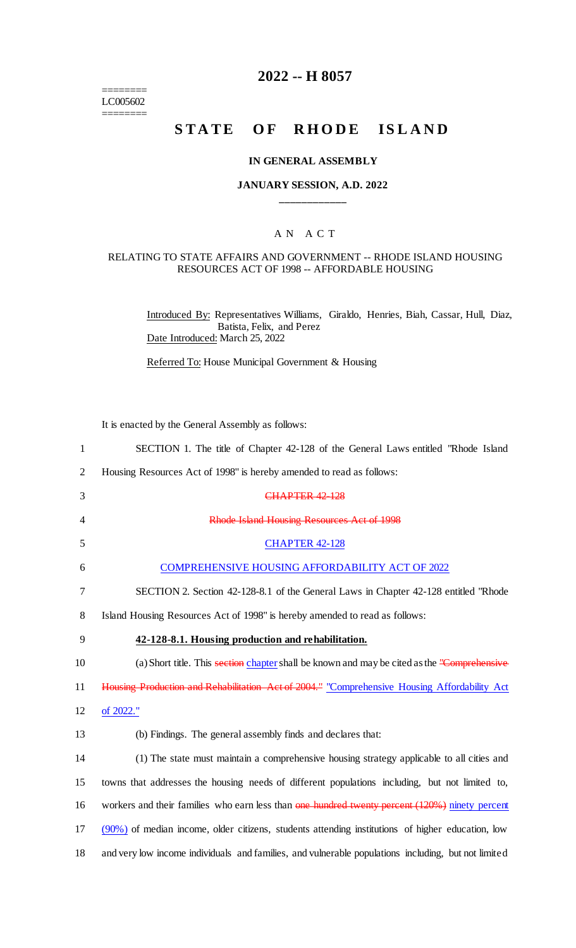======== LC005602 ========

# **2022 -- H 8057**

# **STATE OF RHODE ISLAND**

#### **IN GENERAL ASSEMBLY**

## **JANUARY SESSION, A.D. 2022 \_\_\_\_\_\_\_\_\_\_\_\_**

## A N A C T

#### RELATING TO STATE AFFAIRS AND GOVERNMENT -- RHODE ISLAND HOUSING RESOURCES ACT OF 1998 -- AFFORDABLE HOUSING

Introduced By: Representatives Williams, Giraldo, Henries, Biah, Cassar, Hull, Diaz, Batista, Felix, and Perez Date Introduced: March 25, 2022

Referred To: House Municipal Government & Housing

It is enacted by the General Assembly as follows:

| $\mathbf{1}$   | SECTION 1. The title of Chapter 42-128 of the General Laws entitled "Rhode Island"                  |
|----------------|-----------------------------------------------------------------------------------------------------|
| $\overline{2}$ | Housing Resources Act of 1998" is hereby amended to read as follows:                                |
| 3              | <b>CHAPTER 42 128</b>                                                                               |
| 4              | Rhode Island Housing Resources Act of 1998                                                          |
| 5              | <b>CHAPTER 42-128</b>                                                                               |
| 6              | <b>COMPREHENSIVE HOUSING AFFORDABILITY ACT OF 2022</b>                                              |
| 7              | SECTION 2. Section 42-128-8.1 of the General Laws in Chapter 42-128 entitled "Rhode"                |
| 8              | Island Housing Resources Act of 1998" is hereby amended to read as follows:                         |
| 9              | 42-128-8.1. Housing production and rehabilitation.                                                  |
| 10             | (a) Short title. This section chapter shall be known and may be cited as the "Comprehensive"        |
| 11             | Housing Production and Rehabilitation Act of 2004." "Comprehensive Housing Affordability Act        |
| 12             | of 2022."                                                                                           |
| 13             | (b) Findings. The general assembly finds and declares that:                                         |
| 14             | (1) The state must maintain a comprehensive housing strategy applicable to all cities and           |
| 15             | towns that addresses the housing needs of different populations including, but not limited to,      |
| 16             | workers and their families who earn less than one hundred twenty percent $(120%)$ ninety percent    |
| 17             | (90%) of median income, older citizens, students attending institutions of higher education, low    |
| 18             | and very low income individuals and families, and vulnerable populations including, but not limited |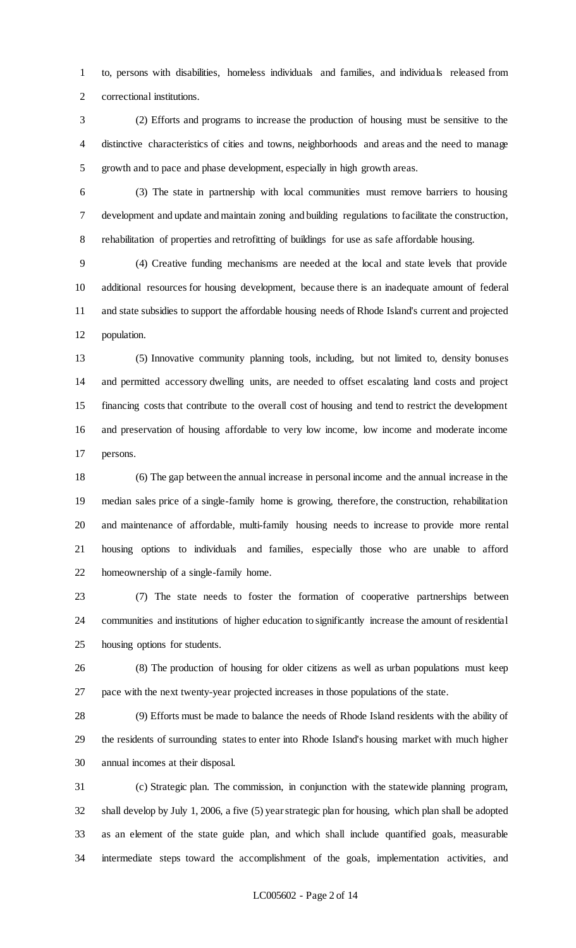to, persons with disabilities, homeless individuals and families, and individuals released from correctional institutions.

- (2) Efforts and programs to increase the production of housing must be sensitive to the distinctive characteristics of cities and towns, neighborhoods and areas and the need to manage growth and to pace and phase development, especially in high growth areas.
- (3) The state in partnership with local communities must remove barriers to housing development and update and maintain zoning and building regulations to facilitate the construction, rehabilitation of properties and retrofitting of buildings for use as safe affordable housing.

 (4) Creative funding mechanisms are needed at the local and state levels that provide additional resources for housing development, because there is an inadequate amount of federal and state subsidies to support the affordable housing needs of Rhode Island's current and projected population.

 (5) Innovative community planning tools, including, but not limited to, density bonuses and permitted accessory dwelling units, are needed to offset escalating land costs and project financing costs that contribute to the overall cost of housing and tend to restrict the development and preservation of housing affordable to very low income, low income and moderate income persons.

 (6) The gap between the annual increase in personal income and the annual increase in the median sales price of a single-family home is growing, therefore, the construction, rehabilitation and maintenance of affordable, multi-family housing needs to increase to provide more rental housing options to individuals and families, especially those who are unable to afford homeownership of a single-family home.

 (7) The state needs to foster the formation of cooperative partnerships between communities and institutions of higher education to significantly increase the amount of residential housing options for students.

 (8) The production of housing for older citizens as well as urban populations must keep pace with the next twenty-year projected increases in those populations of the state.

 (9) Efforts must be made to balance the needs of Rhode Island residents with the ability of the residents of surrounding states to enter into Rhode Island's housing market with much higher annual incomes at their disposal.

 (c) Strategic plan. The commission, in conjunction with the statewide planning program, shall develop by July 1, 2006, a five (5) year strategic plan for housing, which plan shall be adopted as an element of the state guide plan, and which shall include quantified goals, measurable intermediate steps toward the accomplishment of the goals, implementation activities, and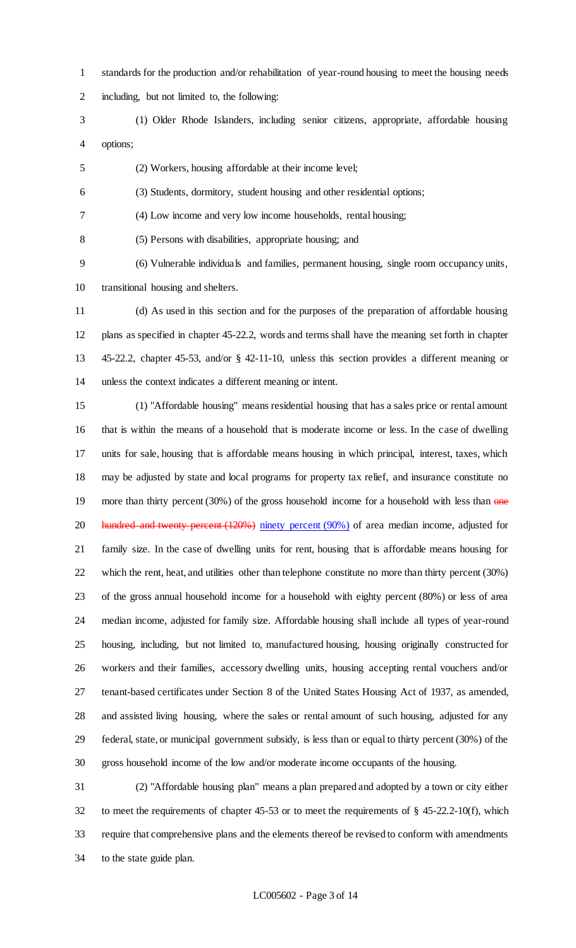- standards for the production and/or rehabilitation of year-round housing to meet the housing needs
- including, but not limited to, the following:
- (1) Older Rhode Islanders, including senior citizens, appropriate, affordable housing options;
- (2) Workers, housing affordable at their income level;
- (3) Students, dormitory, student housing and other residential options;
- (4) Low income and very low income households, rental housing;
- (5) Persons with disabilities, appropriate housing; and
- (6) Vulnerable individuals and families, permanent housing, single room occupancy units, transitional housing and shelters.
- (d) As used in this section and for the purposes of the preparation of affordable housing plans as specified in chapter 45-22.2, words and terms shall have the meaning set forth in chapter 45-22.2, chapter 45-53, and/or § 42-11-10, unless this section provides a different meaning or unless the context indicates a different meaning or intent.
- (1) "Affordable housing" means residential housing that has a sales price or rental amount that is within the means of a household that is moderate income or less. In the case of dwelling units for sale, housing that is affordable means housing in which principal, interest, taxes, which may be adjusted by state and local programs for property tax relief, and insurance constitute no 19 more than thirty percent  $(30%)$  of the gross household income for a household with less than  $\theta$  me 20 hundred and twenty percent (120%) ninety percent (90%) of area median income, adjusted for family size. In the case of dwelling units for rent, housing that is affordable means housing for which the rent, heat, and utilities other than telephone constitute no more than thirty percent (30%) of the gross annual household income for a household with eighty percent (80%) or less of area median income, adjusted for family size. Affordable housing shall include all types of year-round housing, including, but not limited to, manufactured housing, housing originally constructed for workers and their families, accessory dwelling units, housing accepting rental vouchers and/or tenant-based certificates under Section 8 of the United States Housing Act of 1937, as amended, and assisted living housing, where the sales or rental amount of such housing, adjusted for any federal, state, or municipal government subsidy, is less than or equal to thirty percent (30%) of the gross household income of the low and/or moderate income occupants of the housing.
- (2) "Affordable housing plan" means a plan prepared and adopted by a town or city either to meet the requirements of chapter 45-53 or to meet the requirements of § 45-22.2-10(f), which require that comprehensive plans and the elements thereof be revised to conform with amendments to the state guide plan.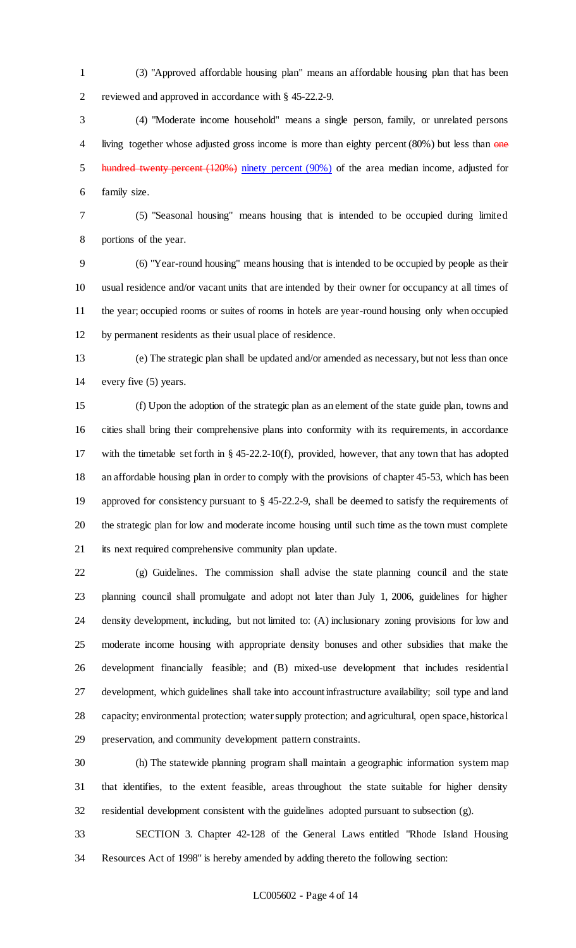(3) "Approved affordable housing plan" means an affordable housing plan that has been reviewed and approved in accordance with § 45-22.2-9.

 (4) "Moderate income household" means a single person, family, or unrelated persons 4 living together whose adjusted gross income is more than eighty percent (80%) but less than one hundred twenty percent (120%) ninety percent (90%) of the area median income, adjusted for family size.

 (5) "Seasonal housing" means housing that is intended to be occupied during limited portions of the year.

 (6) "Year-round housing" means housing that is intended to be occupied by people as their usual residence and/or vacant units that are intended by their owner for occupancy at all times of the year; occupied rooms or suites of rooms in hotels are year-round housing only when occupied by permanent residents as their usual place of residence.

 (e) The strategic plan shall be updated and/or amended as necessary, but not less than once every five (5) years.

 (f) Upon the adoption of the strategic plan as an element of the state guide plan, towns and cities shall bring their comprehensive plans into conformity with its requirements, in accordance with the timetable set forth in § 45-22.2-10(f), provided, however, that any town that has adopted an affordable housing plan in order to comply with the provisions of chapter 45-53, which has been approved for consistency pursuant to § 45-22.2-9, shall be deemed to satisfy the requirements of the strategic plan for low and moderate income housing until such time as the town must complete its next required comprehensive community plan update.

 (g) Guidelines. The commission shall advise the state planning council and the state planning council shall promulgate and adopt not later than July 1, 2006, guidelines for higher density development, including, but not limited to: (A) inclusionary zoning provisions for low and moderate income housing with appropriate density bonuses and other subsidies that make the development financially feasible; and (B) mixed-use development that includes residential development, which guidelines shall take into account infrastructure availability; soil type and land capacity; environmental protection; water supply protection; and agricultural, open space, historical preservation, and community development pattern constraints.

 (h) The statewide planning program shall maintain a geographic information system map that identifies, to the extent feasible, areas throughout the state suitable for higher density residential development consistent with the guidelines adopted pursuant to subsection (g).

 SECTION 3. Chapter 42-128 of the General Laws entitled "Rhode Island Housing Resources Act of 1998" is hereby amended by adding thereto the following section: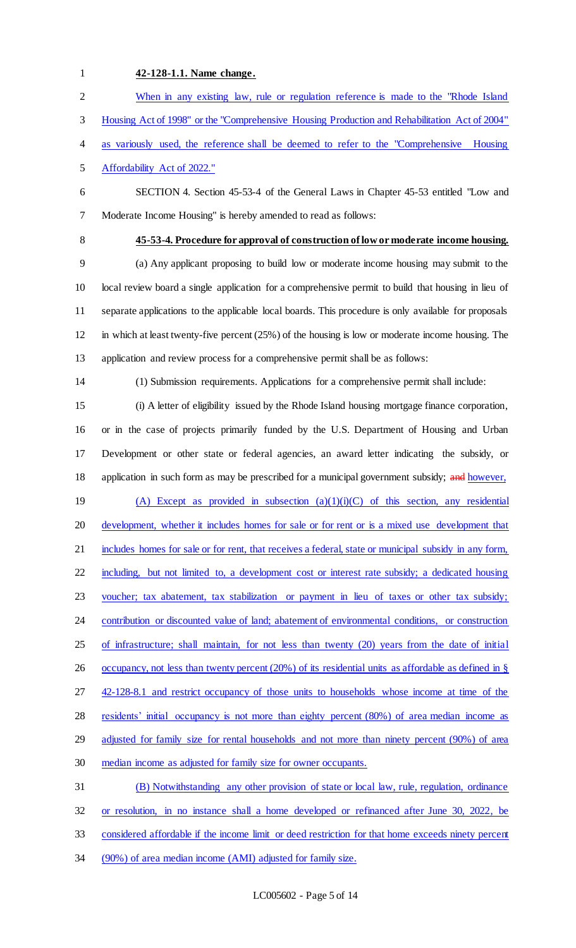#### **42-128-1.1. Name change.**

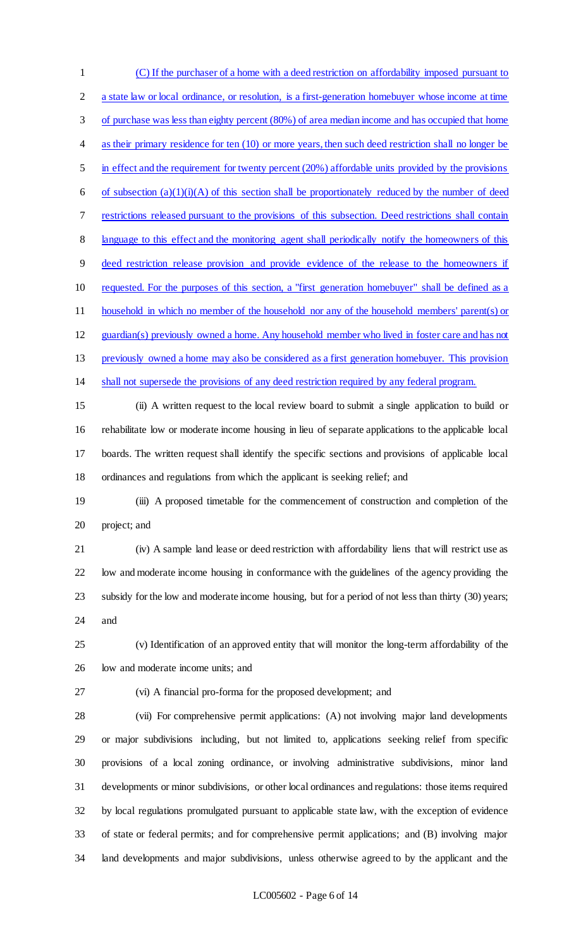(C) If the purchaser of a home with a deed restriction on affordability imposed pursuant to a state law or local ordinance, or resolution, is a first-generation homebuyer whose income at time of purchase was less than eighty percent (80%) of area median income and has occupied that home 4 as their primary residence for ten (10) or more years, then such deed restriction shall no longer be in effect and the requirement for twenty percent (20%) affordable units provided by the provisions 6 of subsection  $(a)(1)(i)(A)$  of this section shall be proportionately reduced by the number of deed restrictions released pursuant to the provisions of this subsection. Deed restrictions shall contain language to this effect and the monitoring agent shall periodically notify the homeowners of this deed restriction release provision and provide evidence of the release to the homeowners if requested. For the purposes of this section, a "first generation homebuyer" shall be defined as a household in which no member of the household nor any of the household members' parent(s) or guardian(s) previously owned a home. Any household member who lived in foster care and has not previously owned a home may also be considered as a first generation homebuyer. This provision shall not supersede the provisions of any deed restriction required by any federal program. (ii) A written request to the local review board to submit a single application to build or rehabilitate low or moderate income housing in lieu of separate applications to the applicable local boards. The written request shall identify the specific sections and provisions of applicable local ordinances and regulations from which the applicant is seeking relief; and (iii) A proposed timetable for the commencement of construction and completion of the project; and (iv) A sample land lease or deed restriction with affordability liens that will restrict use as low and moderate income housing in conformance with the guidelines of the agency providing the subsidy for the low and moderate income housing, but for a period of not less than thirty (30) years; and (v) Identification of an approved entity that will monitor the long-term affordability of the low and moderate income units; and (vi) A financial pro-forma for the proposed development; and (vii) For comprehensive permit applications: (A) not involving major land developments or major subdivisions including, but not limited to, applications seeking relief from specific provisions of a local zoning ordinance, or involving administrative subdivisions, minor land

 developments or minor subdivisions, or other local ordinances and regulations: those items required by local regulations promulgated pursuant to applicable state law, with the exception of evidence of state or federal permits; and for comprehensive permit applications; and (B) involving major land developments and major subdivisions, unless otherwise agreed to by the applicant and the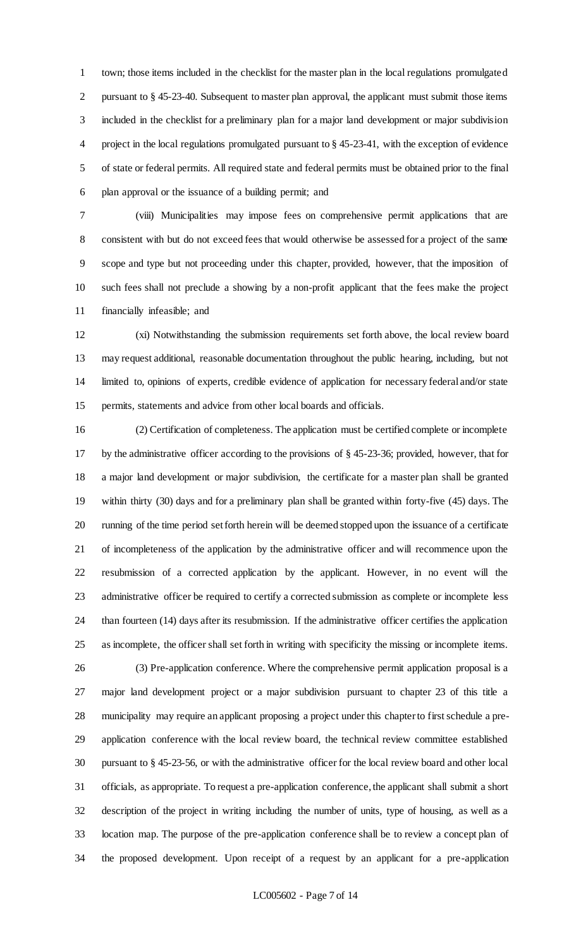town; those items included in the checklist for the master plan in the local regulations promulgated 2 pursuant to § 45-23-40. Subsequent to master plan approval, the applicant must submit those items included in the checklist for a preliminary plan for a major land development or major subdivision project in the local regulations promulgated pursuant to § 45-23-41, with the exception of evidence of state or federal permits. All required state and federal permits must be obtained prior to the final plan approval or the issuance of a building permit; and

 (viii) Municipalities may impose fees on comprehensive permit applications that are consistent with but do not exceed fees that would otherwise be assessed for a project of the same scope and type but not proceeding under this chapter, provided, however, that the imposition of such fees shall not preclude a showing by a non-profit applicant that the fees make the project financially infeasible; and

 (xi) Notwithstanding the submission requirements set forth above, the local review board may request additional, reasonable documentation throughout the public hearing, including, but not limited to, opinions of experts, credible evidence of application for necessary federal and/or state permits, statements and advice from other local boards and officials.

 (2) Certification of completeness. The application must be certified complete or incomplete by the administrative officer according to the provisions of § 45-23-36; provided, however, that for a major land development or major subdivision, the certificate for a master plan shall be granted within thirty (30) days and for a preliminary plan shall be granted within forty-five (45) days. The running of the time period set forth herein will be deemed stopped upon the issuance of a certificate of incompleteness of the application by the administrative officer and will recommence upon the resubmission of a corrected application by the applicant. However, in no event will the administrative officer be required to certify a corrected submission as complete or incomplete less than fourteen (14) days after its resubmission. If the administrative officer certifies the application as incomplete, the officer shall set forth in writing with specificity the missing or incomplete items.

 (3) Pre-application conference. Where the comprehensive permit application proposal is a major land development project or a major subdivision pursuant to chapter 23 of this title a municipality may require an applicant proposing a project under this chapter to first schedule a pre- application conference with the local review board, the technical review committee established pursuant to § 45-23-56, or with the administrative officer for the local review board and other local officials, as appropriate. To request a pre-application conference, the applicant shall submit a short description of the project in writing including the number of units, type of housing, as well as a location map. The purpose of the pre-application conference shall be to review a concept plan of the proposed development. Upon receipt of a request by an applicant for a pre-application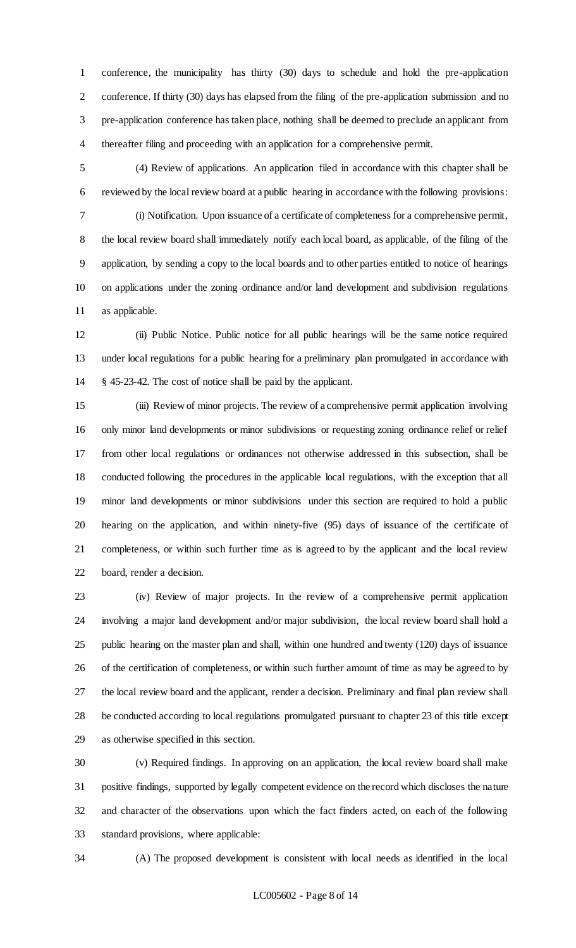conference, the municipality has thirty (30) days to schedule and hold the pre-application conference. If thirty (30) days has elapsed from the filing of the pre-application submission and no pre-application conference has taken place, nothing shall be deemed to preclude an applicant from thereafter filing and proceeding with an application for a comprehensive permit.

 (4) Review of applications. An application filed in accordance with this chapter shall be reviewed by the local review board at a public hearing in accordance with the following provisions: (i) Notification. Upon issuance of a certificate of completeness for a comprehensive permit, the local review board shall immediately notify each local board, as applicable, of the filing of the application, by sending a copy to the local boards and to other parties entitled to notice of hearings on applications under the zoning ordinance and/or land development and subdivision regulations as applicable.

 (ii) Public Notice. Public notice for all public hearings will be the same notice required under local regulations for a public hearing for a preliminary plan promulgated in accordance with § 45-23-42. The cost of notice shall be paid by the applicant.

 (iii) Review of minor projects. The review of a comprehensive permit application involving only minor land developments or minor subdivisions or requesting zoning ordinance relief or relief from other local regulations or ordinances not otherwise addressed in this subsection, shall be conducted following the procedures in the applicable local regulations, with the exception that all minor land developments or minor subdivisions under this section are required to hold a public hearing on the application, and within ninety-five (95) days of issuance of the certificate of completeness, or within such further time as is agreed to by the applicant and the local review board, render a decision.

 (iv) Review of major projects. In the review of a comprehensive permit application involving a major land development and/or major subdivision, the local review board shall hold a public hearing on the master plan and shall, within one hundred and twenty (120) days of issuance of the certification of completeness, or within such further amount of time as may be agreed to by the local review board and the applicant, render a decision. Preliminary and final plan review shall be conducted according to local regulations promulgated pursuant to chapter 23 of this title except as otherwise specified in this section.

 (v) Required findings. In approving on an application, the local review board shall make positive findings, supported by legally competent evidence on the record which discloses the nature and character of the observations upon which the fact finders acted, on each of the following standard provisions, where applicable:

(A) The proposed development is consistent with local needs as identified in the local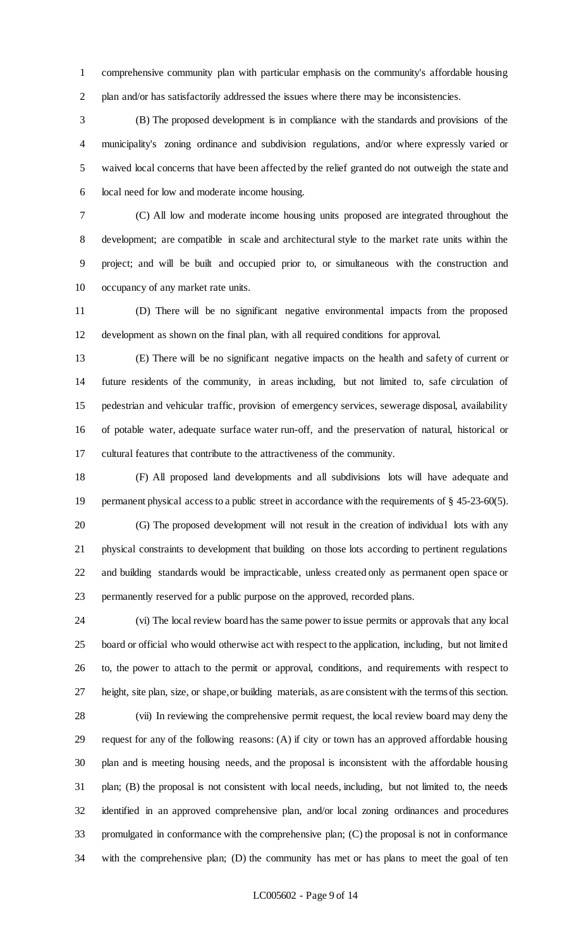comprehensive community plan with particular emphasis on the community's affordable housing plan and/or has satisfactorily addressed the issues where there may be inconsistencies.

 (B) The proposed development is in compliance with the standards and provisions of the municipality's zoning ordinance and subdivision regulations, and/or where expressly varied or waived local concerns that have been affected by the relief granted do not outweigh the state and local need for low and moderate income housing.

 (C) All low and moderate income housing units proposed are integrated throughout the development; are compatible in scale and architectural style to the market rate units within the project; and will be built and occupied prior to, or simultaneous with the construction and occupancy of any market rate units.

 (D) There will be no significant negative environmental impacts from the proposed development as shown on the final plan, with all required conditions for approval.

 (E) There will be no significant negative impacts on the health and safety of current or future residents of the community, in areas including, but not limited to, safe circulation of pedestrian and vehicular traffic, provision of emergency services, sewerage disposal, availability of potable water, adequate surface water run-off, and the preservation of natural, historical or cultural features that contribute to the attractiveness of the community.

 (F) All proposed land developments and all subdivisions lots will have adequate and permanent physical access to a public street in accordance with the requirements of § 45-23-60(5). (G) The proposed development will not result in the creation of individual lots with any physical constraints to development that building on those lots according to pertinent regulations and building standards would be impracticable, unless created only as permanent open space or permanently reserved for a public purpose on the approved, recorded plans.

 (vi) The local review board has the same power to issue permits or approvals that any local board or official who would otherwise act with respect to the application, including, but not limited to, the power to attach to the permit or approval, conditions, and requirements with respect to height, site plan, size, or shape, or building materials, as are consistent with the terms of this section.

 (vii) In reviewing the comprehensive permit request, the local review board may deny the request for any of the following reasons: (A) if city or town has an approved affordable housing plan and is meeting housing needs, and the proposal is inconsistent with the affordable housing plan; (B) the proposal is not consistent with local needs, including, but not limited to, the needs identified in an approved comprehensive plan, and/or local zoning ordinances and procedures promulgated in conformance with the comprehensive plan; (C) the proposal is not in conformance with the comprehensive plan; (D) the community has met or has plans to meet the goal of ten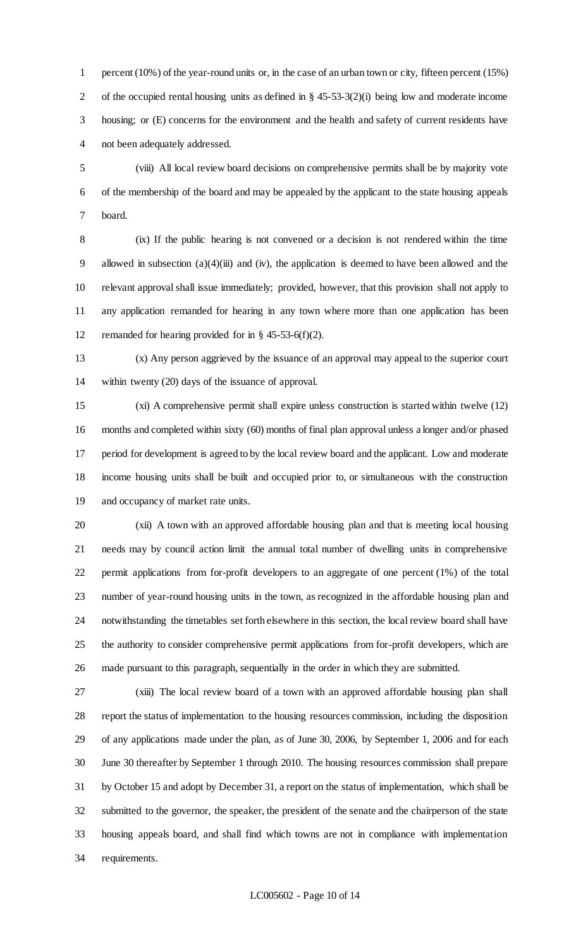percent (10%) of the year-round units or, in the case of an urban town or city, fifteen percent (15%) of the occupied rental housing units as defined in § 45-53-3(2)(i) being low and moderate income housing; or (E) concerns for the environment and the health and safety of current residents have not been adequately addressed.

 (viii) All local review board decisions on comprehensive permits shall be by majority vote of the membership of the board and may be appealed by the applicant to the state housing appeals board.

 (ix) If the public hearing is not convened or a decision is not rendered within the time allowed in subsection (a)(4)(iii) and (iv), the application is deemed to have been allowed and the relevant approval shall issue immediately; provided, however, that this provision shall not apply to any application remanded for hearing in any town where more than one application has been remanded for hearing provided for in § 45-53-6(f)(2).

 (x) Any person aggrieved by the issuance of an approval may appeal to the superior court within twenty (20) days of the issuance of approval.

 (xi) A comprehensive permit shall expire unless construction is started within twelve (12) months and completed within sixty (60) months of final plan approval unless a longer and/or phased period for development is agreed to by the local review board and the applicant. Low and moderate income housing units shall be built and occupied prior to, or simultaneous with the construction and occupancy of market rate units.

 (xii) A town with an approved affordable housing plan and that is meeting local housing needs may by council action limit the annual total number of dwelling units in comprehensive permit applications from for-profit developers to an aggregate of one percent (1%) of the total number of year-round housing units in the town, as recognized in the affordable housing plan and notwithstanding the timetables set forth elsewhere in this section, the local review board shall have the authority to consider comprehensive permit applications from for-profit developers, which are made pursuant to this paragraph, sequentially in the order in which they are submitted.

 (xiii) The local review board of a town with an approved affordable housing plan shall report the status of implementation to the housing resources commission, including the disposition of any applications made under the plan, as of June 30, 2006, by September 1, 2006 and for each June 30 thereafter by September 1 through 2010. The housing resources commission shall prepare by October 15 and adopt by December 31, a report on the status of implementation, which shall be submitted to the governor, the speaker, the president of the senate and the chairperson of the state housing appeals board, and shall find which towns are not in compliance with implementation requirements.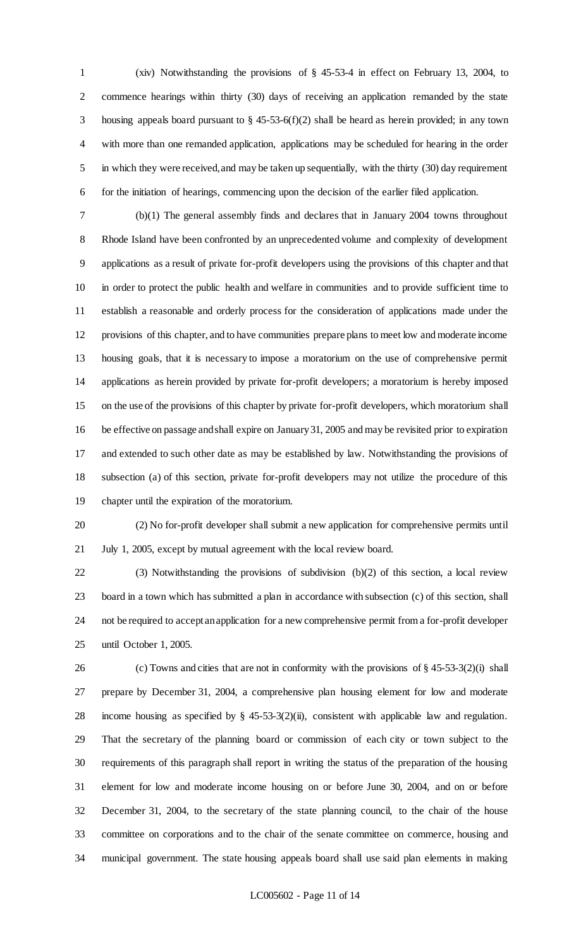(xiv) Notwithstanding the provisions of § 45-53-4 in effect on February 13, 2004, to commence hearings within thirty (30) days of receiving an application remanded by the state housing appeals board pursuant to § 45-53-6(f)(2) shall be heard as herein provided; in any town with more than one remanded application, applications may be scheduled for hearing in the order in which they were received, and may be taken up sequentially, with the thirty (30) day requirement for the initiation of hearings, commencing upon the decision of the earlier filed application.

 (b)(1) The general assembly finds and declares that in January 2004 towns throughout Rhode Island have been confronted by an unprecedented volume and complexity of development applications as a result of private for-profit developers using the provisions of this chapter and that in order to protect the public health and welfare in communities and to provide sufficient time to establish a reasonable and orderly process for the consideration of applications made under the provisions of this chapter, and to have communities prepare plans to meet low and moderate income housing goals, that it is necessary to impose a moratorium on the use of comprehensive permit applications as herein provided by private for-profit developers; a moratorium is hereby imposed on the use of the provisions of this chapter by private for-profit developers, which moratorium shall be effective on passage and shall expire on January 31, 2005 and may be revisited prior to expiration and extended to such other date as may be established by law. Notwithstanding the provisions of subsection (a) of this section, private for-profit developers may not utilize the procedure of this chapter until the expiration of the moratorium.

 (2) No for-profit developer shall submit a new application for comprehensive permits until July 1, 2005, except by mutual agreement with the local review board.

 (3) Notwithstanding the provisions of subdivision (b)(2) of this section, a local review board in a town which has submitted a plan in accordance with subsection (c) of this section, shall not be required to accept an application for a new comprehensive permit from a for-profit developer until October 1, 2005.

 (c) Towns and cities that are not in conformity with the provisions of § 45-53-3(2)(i) shall prepare by December 31, 2004, a comprehensive plan housing element for low and moderate income housing as specified by § 45-53-3(2)(ii), consistent with applicable law and regulation. That the secretary of the planning board or commission of each city or town subject to the requirements of this paragraph shall report in writing the status of the preparation of the housing element for low and moderate income housing on or before June 30, 2004, and on or before December 31, 2004, to the secretary of the state planning council, to the chair of the house committee on corporations and to the chair of the senate committee on commerce, housing and municipal government. The state housing appeals board shall use said plan elements in making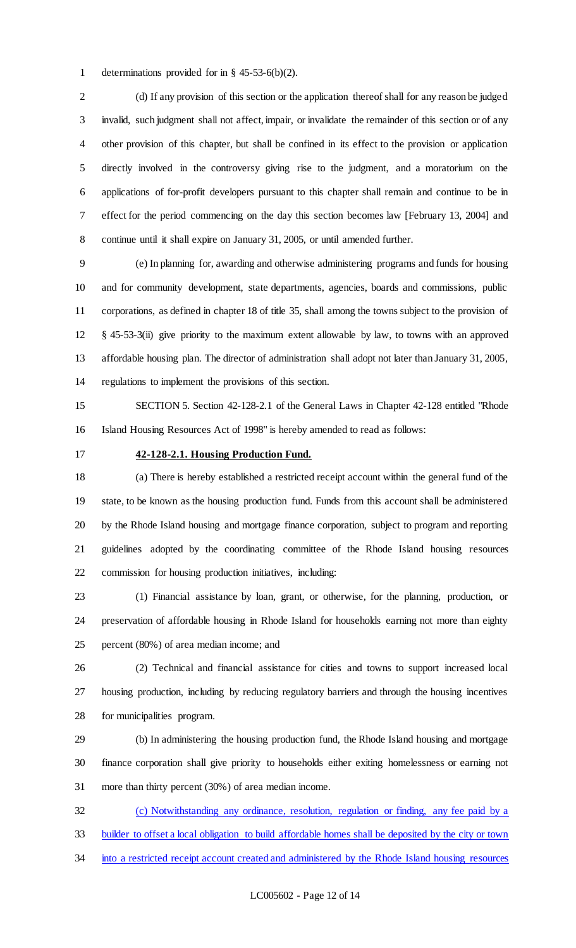determinations provided for in § 45-53-6(b)(2).

 (d) If any provision of this section or the application thereof shall for any reason be judged invalid, such judgment shall not affect, impair, or invalidate the remainder of this section or of any other provision of this chapter, but shall be confined in its effect to the provision or application directly involved in the controversy giving rise to the judgment, and a moratorium on the applications of for-profit developers pursuant to this chapter shall remain and continue to be in effect for the period commencing on the day this section becomes law [February 13, 2004] and continue until it shall expire on January 31, 2005, or until amended further.

 (e) In planning for, awarding and otherwise administering programs and funds for housing and for community development, state departments, agencies, boards and commissions, public corporations, as defined in chapter 18 of title 35, shall among the towns subject to the provision of § 45-53-3(ii) give priority to the maximum extent allowable by law, to towns with an approved affordable housing plan. The director of administration shall adopt not later than January 31, 2005, regulations to implement the provisions of this section.

 SECTION 5. Section 42-128-2.1 of the General Laws in Chapter 42-128 entitled "Rhode Island Housing Resources Act of 1998" is hereby amended to read as follows:

## **42-128-2.1. Housing Production Fund.**

 (a) There is hereby established a restricted receipt account within the general fund of the state, to be known as the housing production fund. Funds from this account shall be administered by the Rhode Island housing and mortgage finance corporation, subject to program and reporting guidelines adopted by the coordinating committee of the Rhode Island housing resources commission for housing production initiatives, including:

 (1) Financial assistance by loan, grant, or otherwise, for the planning, production, or preservation of affordable housing in Rhode Island for households earning not more than eighty percent (80%) of area median income; and

 (2) Technical and financial assistance for cities and towns to support increased local housing production, including by reducing regulatory barriers and through the housing incentives for municipalities program.

 (b) In administering the housing production fund, the Rhode Island housing and mortgage finance corporation shall give priority to households either exiting homelessness or earning not more than thirty percent (30%) of area median income.

 (c) Notwithstanding any ordinance, resolution, regulation or finding, any fee paid by a builder to offset a local obligation to build affordable homes shall be deposited by the city or town 34 into a restricted receipt account created and administered by the Rhode Island housing resources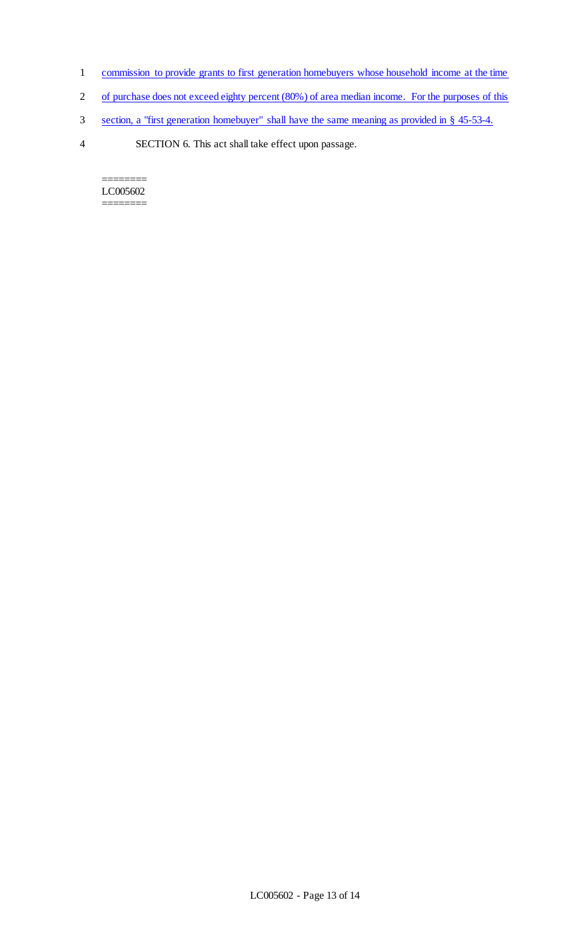- 1 commission to provide grants to first generation homebuyers whose household income at the time
- 2 of purchase does not exceed eighty percent (80%) of area median income. For the purposes of this
- 3 section, a "first generation homebuyer" shall have the same meaning as provided in § 45-53-4.
- 4 SECTION 6. This act shall take effect upon passage.

======== LC005602 ========